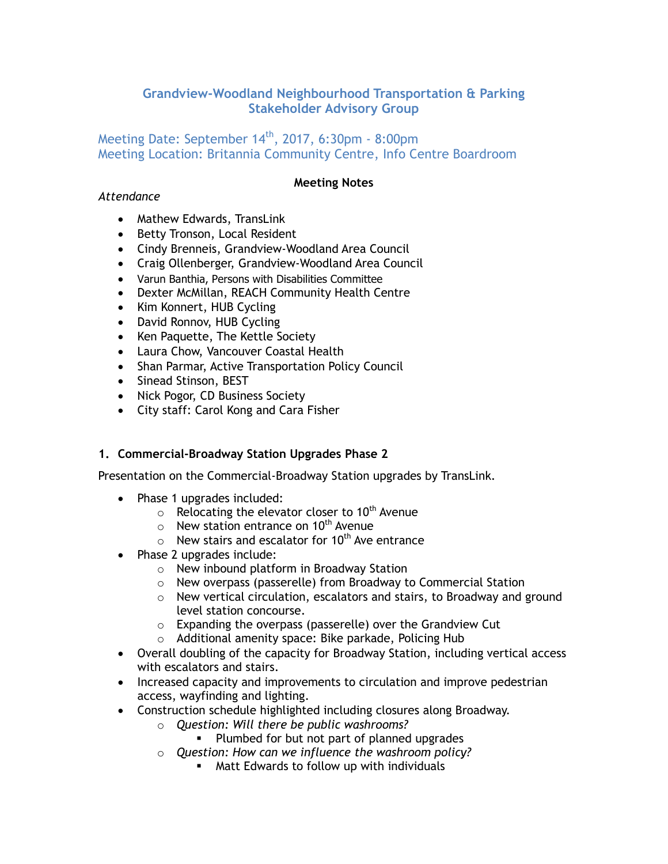# **Grandview-Woodland Neighbourhood Transportation & Parking Stakeholder Advisory Group**

# Meeting Date: September  $14<sup>th</sup>$ , 2017, 6:30pm - 8:00pm Meeting Location: Britannia Community Centre, Info Centre Boardroom

### **Meeting Notes**

#### *Attendance*

- Mathew Edwards, TransLink
- Betty Tronson, Local Resident
- Cindy Brenneis, Grandview-Woodland Area Council
- Craig Ollenberger, Grandview-Woodland Area Council
- Varun Banthia, Persons with Disabilities Committee
- Dexter McMillan, REACH Community Health Centre
- Kim Konnert, HUB Cycling
- David Ronnov, HUB Cycling
- Ken Paquette, The Kettle Society
- Laura Chow, Vancouver Coastal Health
- Shan Parmar, Active Transportation Policy Council
- Sinead Stinson, BEST
- Nick Pogor, CD Business Society
- City staff: Carol Kong and Cara Fisher

### **1. Commercial-Broadway Station Upgrades Phase 2**

Presentation on the Commercial-Broadway Station upgrades by TransLink.

- Phase 1 upgrades included:
	- $\circ$  Relocating the elevator closer to 10<sup>th</sup> Avenue
	- $\circ$  New station entrance on 10<sup>th</sup> Avenue
	- $\circ$  New stairs and escalator for 10<sup>th</sup> Ave entrance
- Phase 2 upgrades include:
	- o New inbound platform in Broadway Station
	- o New overpass (passerelle) from Broadway to Commercial Station
	- o New vertical circulation, escalators and stairs, to Broadway and ground level station concourse.
	- o Expanding the overpass (passerelle) over the Grandview Cut
	- o Additional amenity space: Bike parkade, Policing Hub
- Overall doubling of the capacity for Broadway Station, including vertical access with escalators and stairs.
- Increased capacity and improvements to circulation and improve pedestrian access, wayfinding and lighting.
- Construction schedule highlighted including closures along Broadway.
	- o *Question: Will there be public washrooms?*
		- **Plumbed for but not part of planned upgrades**
	- o *Question: How can we influence the washroom policy?*
		- **Matt Edwards to follow up with individuals**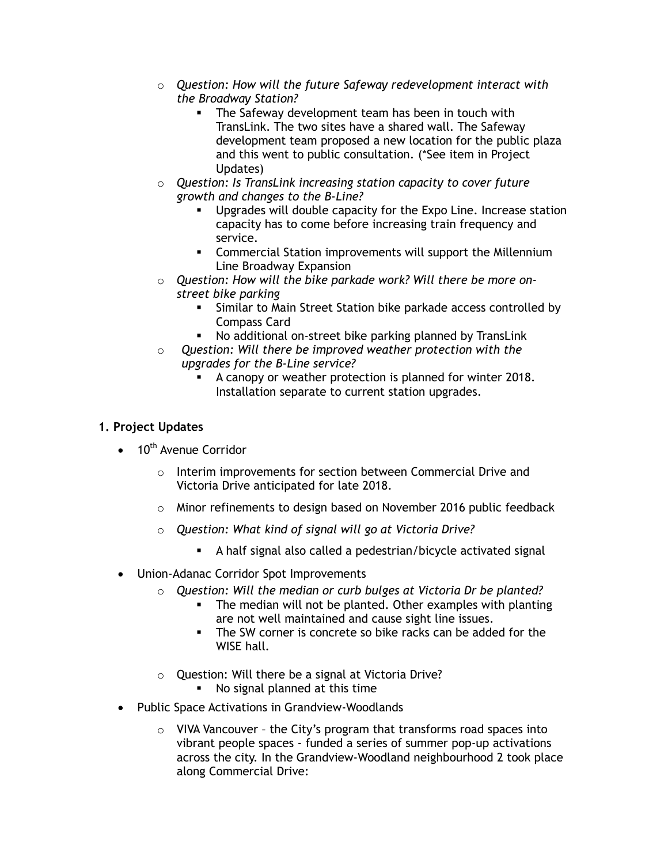- o *Question: How will the future Safeway redevelopment interact with the Broadway Station?*
	- **The Safeway development team has been in touch with** TransLink. The two sites have a shared wall. The Safeway development team proposed a new location for the public plaza and this went to public consultation. (\*See item in Project Updates)
- o *Question: Is TransLink increasing station capacity to cover future growth and changes to the B-Line?*
	- Upgrades will double capacity for the Expo Line. Increase station capacity has to come before increasing train frequency and service.
	- **EXECOMMERTAL Station improvements will support the Millennium** Line Broadway Expansion
- o *Question: How will the bike parkade work? Will there be more onstreet bike parking*
	- Similar to Main Street Station bike parkade access controlled by Compass Card
	- No additional on-street bike parking planned by TransLink
- o *Question: Will there be improved weather protection with the upgrades for the B-Line service?*
	- A canopy or weather protection is planned for winter 2018. Installation separate to current station upgrades.

# **1. Project Updates**

- $\bullet$  10<sup>th</sup> Avenue Corridor
	- $\circ$  Interim improvements for section between Commercial Drive and Victoria Drive anticipated for late 2018.
	- $\circ$  Minor refinements to design based on November 2016 public feedback
	- o *Question: What kind of signal will go at Victoria Drive?*
		- A half signal also called a pedestrian/bicycle activated signal
- Union-Adanac Corridor Spot Improvements
	- o *Question: Will the median or curb bulges at Victoria Dr be planted?*
		- The median will not be planted. Other examples with planting are not well maintained and cause sight line issues.
		- The SW corner is concrete so bike racks can be added for the WISE hall.
	- o Question: Will there be a signal at Victoria Drive?
		- No signal planned at this time
- Public Space Activations in Grandview-Woodlands
	- $\circ$  VIVA Vancouver the City's program that transforms road spaces into vibrant people spaces - funded a series of summer pop-up activations across the city. In the Grandview-Woodland neighbourhood 2 took place along Commercial Drive: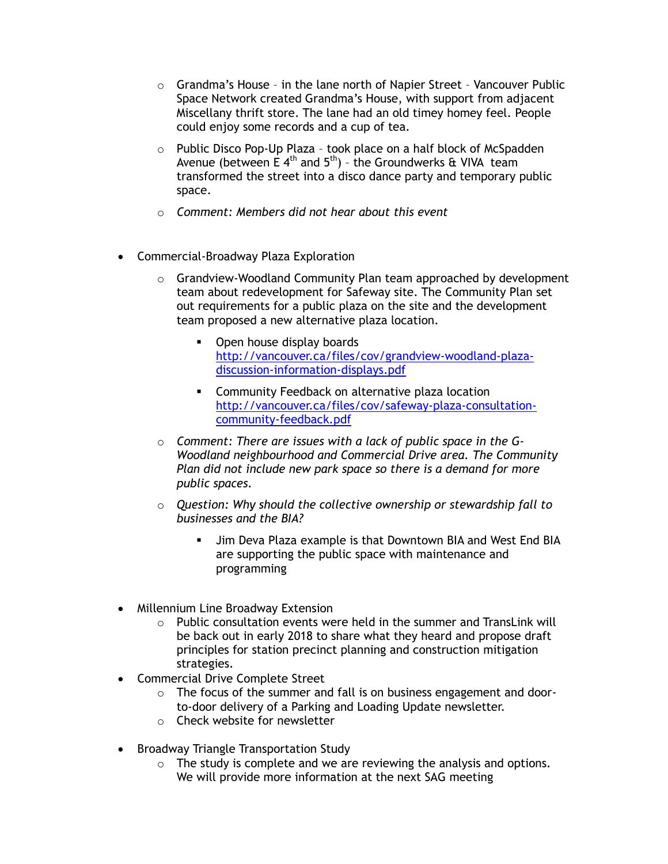- $\circ$  Grandma's House in the lane north of Napier Street Vancouver Public Space Network created Grandma's House, with support from adjacent Miscellany thrift store. The lane had an old timey homey feel. People could enjoy some records and a cup of tea.
- o Public Disco Pop-Up Plaza took place on a half block of McSpadden Avenue (between E  $4<sup>th</sup>$  and  $5<sup>th</sup>$ ) - the Groundwerks & VIVA team transformed the street into a disco dance party and temporary public space.
- o *Comment: Members did not hear about this event*
- Commercial-Broadway Plaza Exploration
	- $\circ$  Grandview-Woodland Community Plan team approached by development team about redevelopment for Safeway site. The Community Plan set out requirements for a public plaza on the site and the development team proposed a new alternative plaza location.
		- Open house display boards [http://vancouver.ca/files/cov/grandview-woodland-plaza](http://vancouver.ca/files/cov/grandview-woodland-plaza-discussion-information-displays.pdf)[discussion-information-displays.pdf](http://vancouver.ca/files/cov/grandview-woodland-plaza-discussion-information-displays.pdf)
		- **EXECOMMUNICE COMMUNITY Feedback on alternative plaza location** [http://vancouver.ca/files/cov/safeway-plaza-consultation](http://vancouver.ca/files/cov/safeway-plaza-consultation-community-feedback.pdf)[community-feedback.pdf](http://vancouver.ca/files/cov/safeway-plaza-consultation-community-feedback.pdf)
	- o *Comment: There are issues with a lack of public space in the G-Woodland neighbourhood and Commercial Drive area. The Community Plan did not include new park space so there is a demand for more public spaces.*
	- o *Question: Why should the collective ownership or stewardship fall to businesses and the BIA?*
		- Jim Deva Plaza example is that Downtown BIA and West End BIA are supporting the public space with maintenance and programming
- Millennium Line Broadway Extension
	- $\circ$  Public consultation events were held in the summer and TransLink will be back out in early 2018 to share what they heard and propose draft principles for station precinct planning and construction mitigation strategies.
- Commercial Drive Complete Street
	- o The focus of the summer and fall is on business engagement and doorto-door delivery of a Parking and Loading Update newsletter.
	- o Check website for newsletter
- Broadway Triangle Transportation Study
	- $\circ$  The study is complete and we are reviewing the analysis and options. We will provide more information at the next SAG meeting